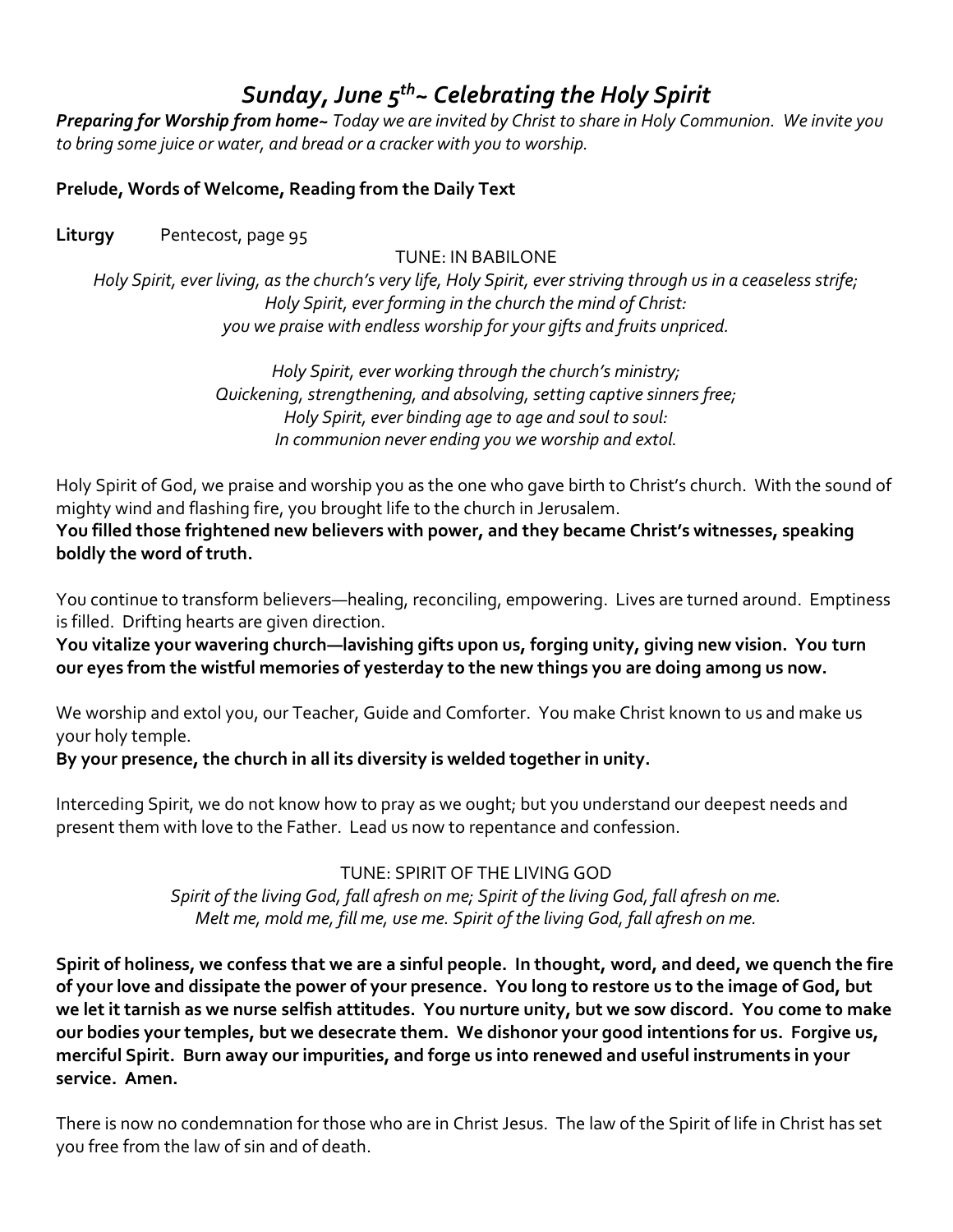# *Sunday, June 5th~ Celebrating the Holy Spirit*

*Preparing for Worship from home~ Today we are invited by Christ to share in Holy Communion. We invite you to bring some juice or water, and bread or a cracker with you to worship.* 

# **Prelude, Words of Welcome, Reading from the Daily Text**

**Liturgy** Pentecost, page 95

TUNE: IN BABILONE

*Holy Spirit, ever living, as the church's very life, Holy Spirit, ever striving through us in a ceaseless strife; Holy Spirit, ever forming in the church the mind of Christ: you we praise with endless worship for your gifts and fruits unpriced.* 

> *Holy Spirit, ever working through the church's ministry; Quickening, strengthening, and absolving, setting captive sinners free; Holy Spirit, ever binding age to age and soul to soul: In communion never ending you we worship and extol.*

Holy Spirit of God, we praise and worship you as the one who gave birth to Christ's church. With the sound of mighty wind and flashing fire, you brought life to the church in Jerusalem.

**You filled those frightened new believers with power, and they became Christ's witnesses, speaking boldly the word of truth.** 

You continue to transform believers—healing, reconciling, empowering. Lives are turned around. Emptiness is filled. Drifting hearts are given direction.

**You vitalize your wavering church—lavishing gifts upon us, forging unity, giving new vision. You turn our eyes from the wistful memories of yesterday to the new things you are doing among us now.** 

We worship and extol you, our Teacher, Guide and Comforter. You make Christ known to us and make us your holy temple.

## **By your presence, the church in all its diversity is welded together in unity.**

Interceding Spirit, we do not know how to pray as we ought; but you understand our deepest needs and present them with love to the Father. Lead us now to repentance and confession.

TUNE: SPIRIT OF THE LIVING GOD

*Spirit of the living God, fall afresh on me; Spirit of the living God, fall afresh on me. Melt me, mold me, fill me, use me. Spirit of the living God, fall afresh on me.* 

**Spirit of holiness, we confess that we are a sinful people. In thought, word, and deed, we quench the fire of your love and dissipate the power of your presence. You long to restore us to the image of God, but we let it tarnish as we nurse selfish attitudes. You nurture unity, but we sow discord. You come to make our bodies your temples, but we desecrate them. We dishonor your good intentions for us. Forgive us, merciful Spirit. Burn away our impurities, and forge us into renewed and useful instruments in your service. Amen.** 

There is now no condemnation for those who are in Christ Jesus. The law of the Spirit of life in Christ has set you free from the law of sin and of death.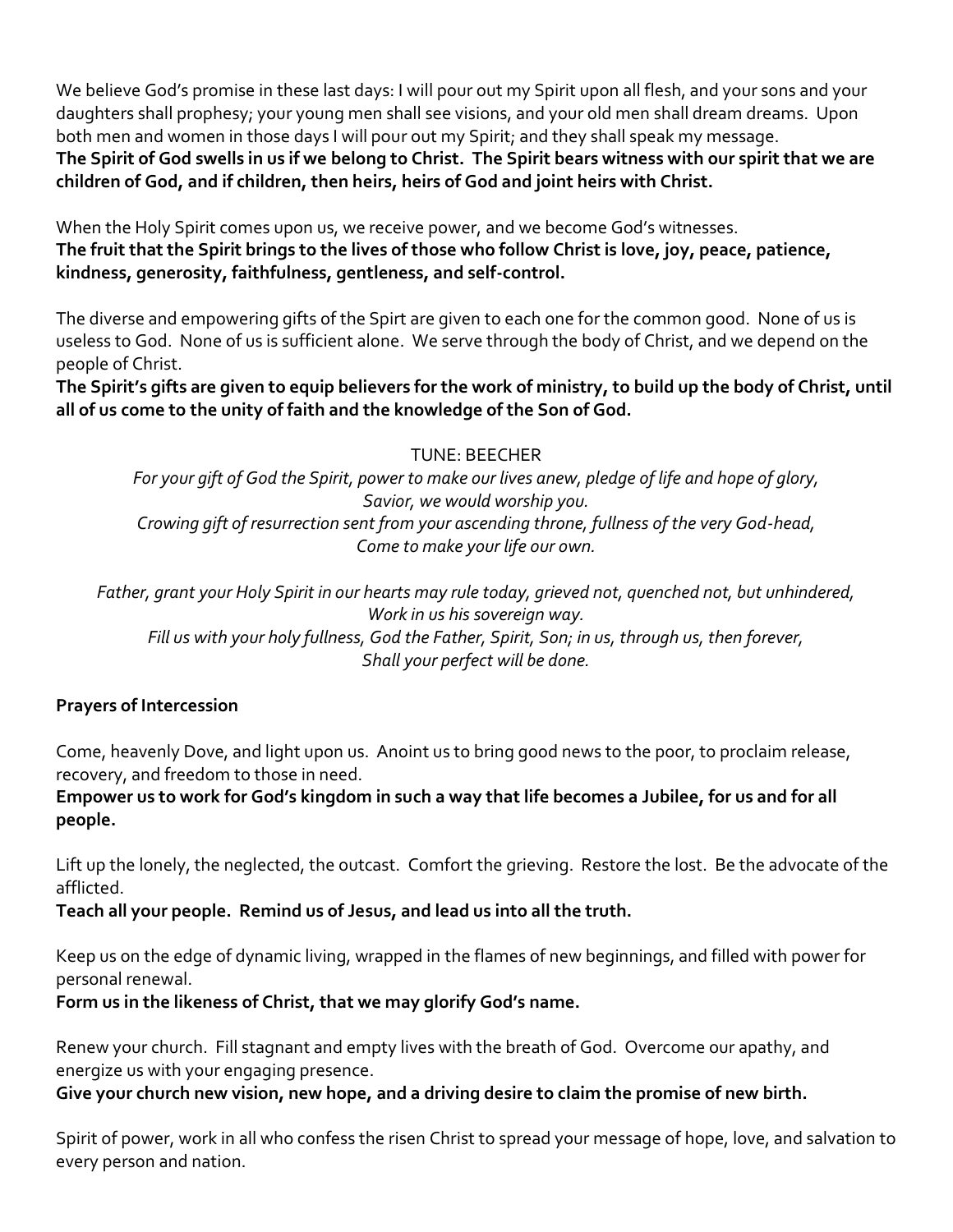We believe God's promise in these last days: I will pour out my Spirit upon all flesh, and your sons and your daughters shall prophesy; your young men shall see visions, and your old men shall dream dreams. Upon both men and women in those days I will pour out my Spirit; and they shall speak my message. **The Spirit of God swells in us if we belong to Christ. The Spirit bears witness with our spirit that we are children of God, and if children, then heirs, heirs of God and joint heirs with Christ.** 

When the Holy Spirit comes upon us, we receive power, and we become God's witnesses. **The fruit that the Spirit brings to the lives of those who follow Christ is love, joy, peace, patience, kindness, generosity, faithfulness, gentleness, and self-control.** 

The diverse and empowering gifts of the Spirt are given to each one for the common good. None of us is useless to God. None of us is sufficient alone. We serve through the body of Christ, and we depend on the people of Christ.

**The Spirit's gifts are given to equip believers for the work of ministry, to build up the body of Christ, until all of us come to the unity of faith and the knowledge of the Son of God.** 

#### TUNE: BEECHER

*For your gift of God the Spirit, power to make our lives anew, pledge of life and hope of glory, Savior, we would worship you. Crowing gift of resurrection sent from your ascending throne, fullness of the very God-head, Come to make your life our own.* 

*Father, grant your Holy Spirit in our hearts may rule today, grieved not, quenched not, but unhindered, Work in us his sovereign way. Fill us with your holy fullness, God the Father, Spirit, Son; in us, through us, then forever, Shall your perfect will be done.* 

## **Prayers of Intercession**

Come, heavenly Dove, and light upon us. Anoint us to bring good news to the poor, to proclaim release, recovery, and freedom to those in need.

**Empower us to work for God's kingdom in such a way that life becomes a Jubilee, for us and for all people.** 

Lift up the lonely, the neglected, the outcast. Comfort the grieving. Restore the lost. Be the advocate of the afflicted.

## **Teach all your people. Remind us of Jesus, and lead us into all the truth.**

Keep us on the edge of dynamic living, wrapped in the flames of new beginnings, and filled with power for personal renewal.

**Form us in the likeness of Christ, that we may glorify God's name.** 

Renew your church. Fill stagnant and empty lives with the breath of God. Overcome our apathy, and energize us with your engaging presence.

**Give your church new vision, new hope, and a driving desire to claim the promise of new birth.** 

Spirit of power, work in all who confess the risen Christ to spread your message of hope, love, and salvation to every person and nation.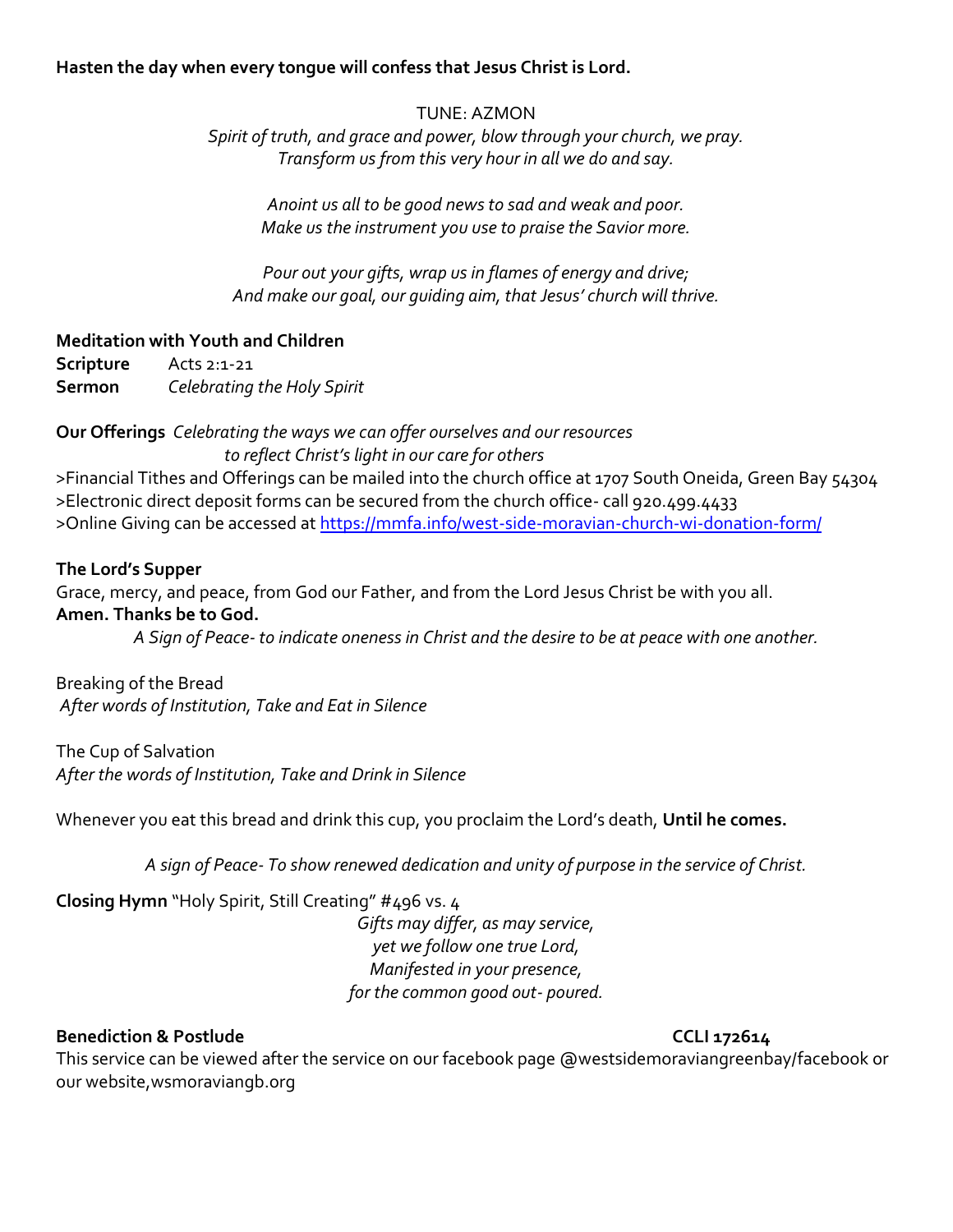#### **Hasten the day when every tongue will confess that Jesus Christ is Lord.**

#### TUNE: AZMON

*Spirit of truth, and grace and power, blow through your church, we pray. Transform us from this very hour in all we do and say.* 

*Anoint us all to be good news to sad and weak and poor. Make us the instrument you use to praise the Savior more.* 

*Pour out your gifts, wrap us in flames of energy and drive; And make our goal, our guiding aim, that Jesus' church will thrive.* 

#### **Meditation with Youth and Children**

**Scripture** Acts 2:1-21 **Sermon** *Celebrating the Holy Spirit* 

## **Our Offerings** *Celebrating the ways we can offer ourselves and our resources to reflect Christ's light in our care for others*

>Financial Tithes and Offerings can be mailed into the church office at 1707 South Oneida, Green Bay 54304 >Electronic direct deposit forms can be secured from the church office- call 920.499.4433 >Online Giving can be accessed a[t https://mmfa.info/west-side-moravian-church-wi-donation-form/](https://mmfa.info/west-side-moravian-church-wi-donation-form/)

#### **The Lord's Supper**

Grace, mercy, and peace, from God our Father, and from the Lord Jesus Christ be with you all. **Amen. Thanks be to God.** 

*A Sign of Peace- to indicate oneness in Christ and the desire to be at peace with one another.*

Breaking of the Bread *After words of Institution, Take and Eat in Silence* 

The Cup of Salvation *After the words of Institution, Take and Drink in Silence* 

Whenever you eat this bread and drink this cup, you proclaim the Lord's death, **Until he comes.** 

*A sign of Peace- To show renewed dedication and unity of purpose in the service of Christ.*

**Closing Hymn** "Holy Spirit, Still Creating" #496 vs. 4

*Gifts may differ, as may service, yet we follow one true Lord, Manifested in your presence, for the common good out- poured.* 

## **Benediction & Postlude CCLI 172614**

This service can be viewed after the service on our facebook page @westsidemoraviangreenbay/facebook or our website,wsmoraviangb.org